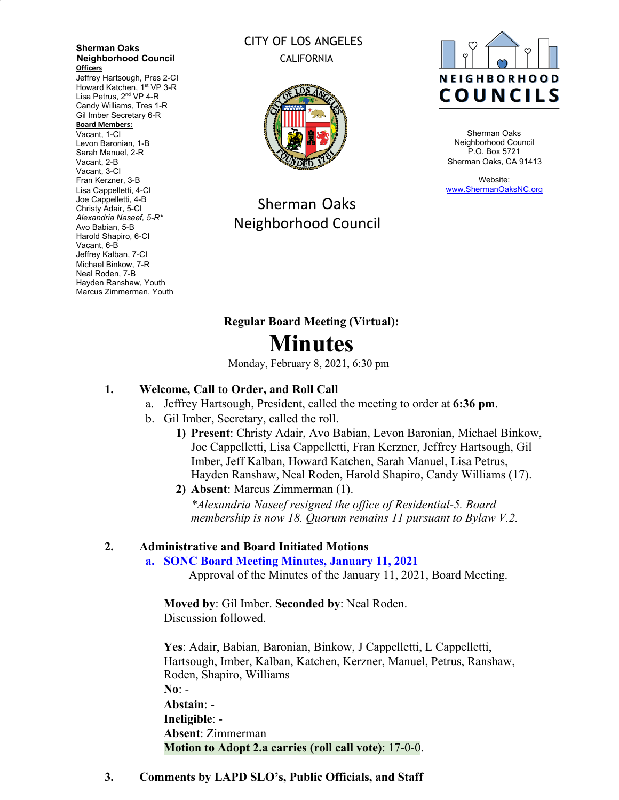**Sherman Oaks Neighborhood Council Officers**

Jeffrey Hartsough, Pres 2-CI Howard Katchen, 1<sup>st</sup> VP 3-R Lisa Petrus, 2<sup>nd</sup> VP 4-R Candy Williams, Tres 1-R Gil Imber Secretary 6-R **Board Members:** Vacant, 1-CI

Levon Baronian, 1-B Sarah Manuel, 2-R Vacant, 2-B Vacant, 3-CI Fran Kerzner, 3-B Lisa Cappelletti, 4-CI Joe Cappelletti, 4-B Christy Adair, 5-CI *Alexandria Naseef, 5-R\** Avo Babian, 5-B Harold Shapiro, 6-CI Vacant, 6-B Jeffrey Kalban, 7-CI Michael Binkow, 7-R Neal Roden, 7-B Hayden Ranshaw, Youth Marcus Zimmerman, Youth

# CITY OF LOS ANGELES CALIFORNIA



Sherman Oaks Neighborhood Council



Sherman Oaks Neighborhood Council P.O. Box 5721 Sherman Oaks, CA 91413

Website: [www.ShermanOaksNC.org](http://www.shermanoaksnc.org/)

# **Regular Board Meeting (Virtual): Minutes**

Monday, February 8, 2021, 6:30 pm

# **1. Welcome, Call to Order, and Roll Call**

- a. Jeffrey Hartsough, President, called the meeting to order at **6:36 pm**.
- b. Gil Imber, Secretary, called the roll.
	- **1) Present**: Christy Adair, Avo Babian, Levon Baronian, Michael Binkow, Joe Cappelletti, Lisa Cappelletti, Fran Kerzner, Jeffrey Hartsough, Gil Imber, Jeff Kalban, Howard Katchen, Sarah Manuel, Lisa Petrus, Hayden Ranshaw, Neal Roden, Harold Shapiro, Candy Williams (17).
	- **2) Absent**: Marcus Zimmerman (1). *\*Alexandria Naseef resigned the office of Residential-5. Board membership is now 18. Quorum remains 11 pursuant to Bylaw V.2.*

## **2. Administrative and Board Initiated Motions**

#### **a. SONC Board Meeting Minutes, January 11, 2021**

Approval of the Minutes of the January 11, 2021, Board Meeting.

**Moved by**: Gil Imber. **Seconded by**: Neal Roden. Discussion followed.

**Yes**: Adair, Babian, Baronian, Binkow, J Cappelletti, L Cappelletti, Hartsough, Imber, Kalban, Katchen, Kerzner, Manuel, Petrus, Ranshaw, Roden, Shapiro, Williams **No**: - **Abstain**: - **Ineligible**: - **Absent**: Zimmerman **Motion to Adopt 2.a carries (roll call vote)**: 17-0-0.

#### **3. Comments by LAPD SLO's, Public Officials, and Staff**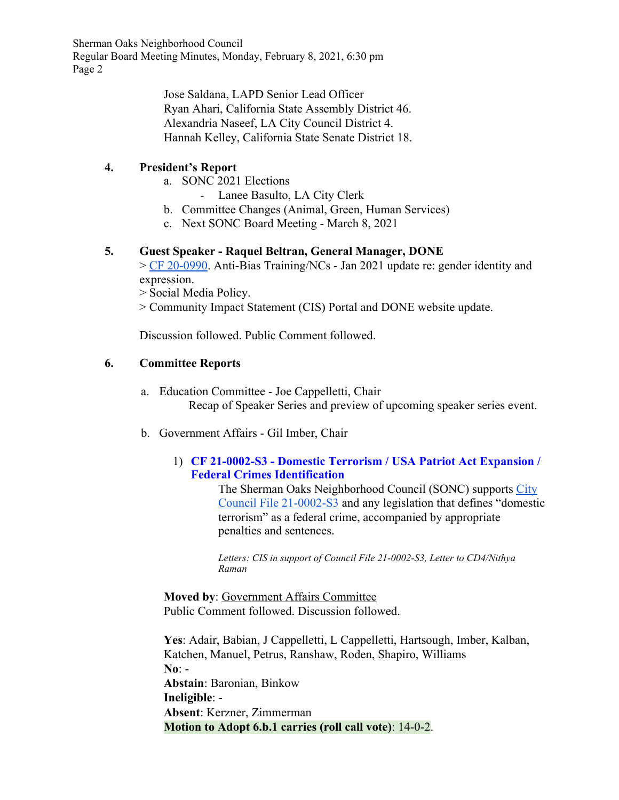> Jose Saldana, LAPD Senior Lead Officer Ryan Ahari, California State Assembly District 46. Alexandria Naseef, LA City Council District 4. Hannah Kelley, California State Senate District 18.

# **4. President's Report**

- a. SONC 2021 Elections
	- Lanee Basulto, LA City Clerk
- b. Committee Changes (Animal, Green, Human Services)
- c. Next SONC Board Meeting March 8, 2021

## **5. Guest Speaker - Raquel Beltran, General Manager, DONE**

> [CF 20-0990.](https://cityclerk.lacity.org/lacityclerkconnect/index.cfm?fa=ccfi.viewrecord&cfnumber=20-0990) Anti-Bias Training/NCs - Jan 2021 update re: gender identity and expression.

> Social Media Policy.

> Community Impact Statement (CIS) Portal and DONE website update.

Discussion followed. Public Comment followed.

## **6. Committee Reports**

- a. Education Committee Joe Cappelletti, Chair Recap of Speaker Series and preview of upcoming speaker series event.
- b. Government Affairs Gil Imber, Chair

## 1) **CF 21-0002-S3 - Domestic Terrorism / USA Patriot Act Expansion / Federal Crimes Identification**

The Sherman Oaks Neighborhood Council (SONC) supports [City](https://cityclerk.lacity.org/lacityclerkconnect/index.cfm?fa=ccfi.viewrecord&cfnumber=21-0002-S3) [Council File 21-0002-S3](https://cityclerk.lacity.org/lacityclerkconnect/index.cfm?fa=ccfi.viewrecord&cfnumber=21-0002-S3) and any legislation that defines "domestic terrorism" as a federal crime, accompanied by appropriate penalties and sentences.

*Letters: CIS in support of Council File 21-0002-S3, Letter to CD4/Nithya Raman*

**Moved by**: Government Affairs Committee Public Comment followed. Discussion followed.

**Yes**: Adair, Babian, J Cappelletti, L Cappelletti, Hartsough, Imber, Kalban, Katchen, Manuel, Petrus, Ranshaw, Roden, Shapiro, Williams **No**: - **Abstain**: Baronian, Binkow **Ineligible**: - **Absent**: Kerzner, Zimmerman **Motion to Adopt 6.b.1 carries (roll call vote)**: 14-0-2.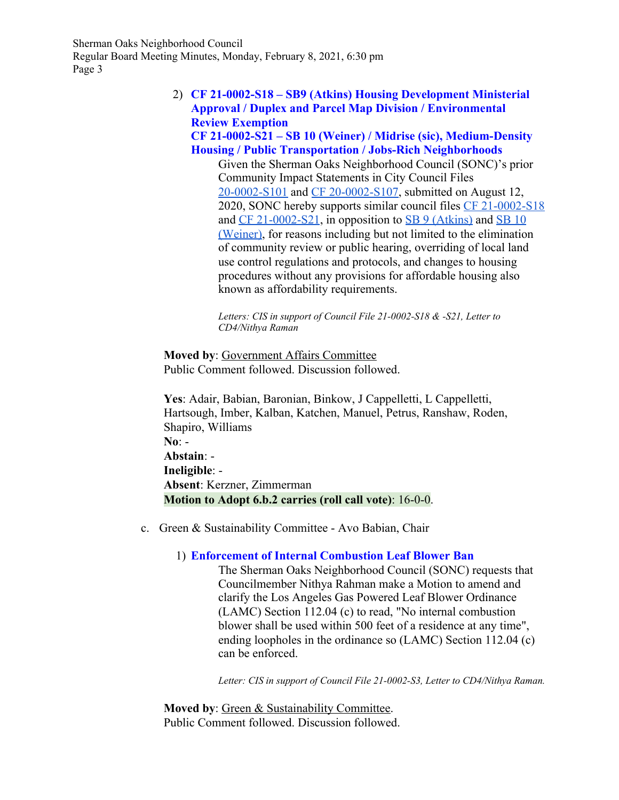### 2) **CF 21-0002-S18 – SB9 (Atkins) Housing Development Ministerial Approval / Duplex and Parcel Map Division / Environmental Review Exemption**

**CF 21-0002-S21 – SB 10 (Weiner) / Midrise (sic), Medium-Density Housing / Public Transportation / Jobs-Rich Neighborhoods**

Given the Sherman Oaks Neighborhood Council (SONC)'s prior Community Impact Statements in City Council Files [20-0002-S101](https://cityclerk.lacity.org/lacityclerkconnect/index.cfm?fa=ccfi.viewrecord&cfnumber=20-0002-S101) and [CF 20-0002-S107](https://cityclerk.lacity.org/lacityclerkconnect/index.cfm?fa=ccfi.viewrecord&cfnumber=20-0002-S107), submitted on August 12, 2020, SONC hereby supports similar council files [CF 21-0002-S18](https://cityclerk.lacity.org/lacityclerkconnect/index.cfm?fa=ccfi.viewrecord&cfnumber=21-0002-S18) and  $CF$  21-0002-S21, in opposition to  $SB$  9 (Atkins) and  $SB$  10 [\(Weiner\),](https://leginfo.legislature.ca.gov/faces/billNavClient.xhtml?bill_id=202120220SB10) for reasons including but not limited to the elimination of community review or public hearing, overriding of local land use control regulations and protocols, and changes to housing procedures without any provisions for affordable housing also known as affordability requirements.

*Letters: CIS in support of Council File 21-0002-S18 & -S21, Letter to CD4/Nithya Raman*

**Moved by**: Government Affairs Committee Public Comment followed. Discussion followed.

**Yes**: Adair, Babian, Baronian, Binkow, J Cappelletti, L Cappelletti, Hartsough, Imber, Kalban, Katchen, Manuel, Petrus, Ranshaw, Roden, Shapiro, Williams **No**: - **Abstain**: - **Ineligible**: - **Absent**: Kerzner, Zimmerman **Motion to Adopt 6.b.2 carries (roll call vote)**: 16-0-0.

c. Green & Sustainability Committee - Avo Babian, Chair

#### 1) **Enforcement of Internal Combustion Leaf Blower Ban**

The Sherman Oaks Neighborhood Council (SONC) requests that Councilmember Nithya Rahman make a Motion to amend and clarify the Los Angeles Gas Powered Leaf Blower Ordinance (LAMC) Section 112.04 (c) to read, "No internal combustion blower shall be used within 500 feet of a residence at any time", ending loopholes in the ordinance so (LAMC) Section 112.04 (c) can be enforced.

*Letter: CIS in support of Council File 21-0002-S3, Letter to CD4/Nithya Raman.*

**Moved by**: Green & Sustainability Committee. Public Comment followed. Discussion followed.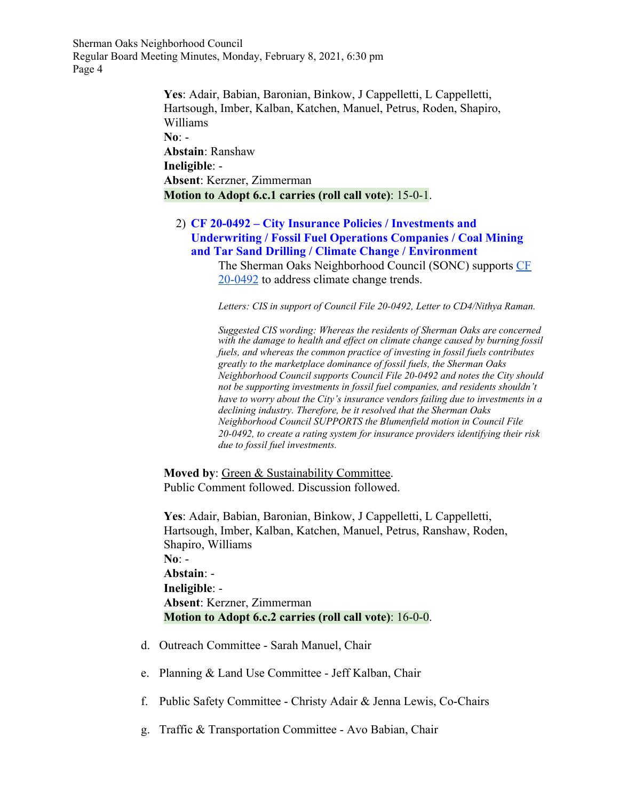> **Yes**: Adair, Babian, Baronian, Binkow, J Cappelletti, L Cappelletti, Hartsough, Imber, Kalban, Katchen, Manuel, Petrus, Roden, Shapiro, Williams **No**: - **Abstain**: Ranshaw **Ineligible**: - **Absent**: Kerzner, Zimmerman **Motion to Adopt 6.c.1 carries (roll call vote)**: 15-0-1.

#### 2) **CF 20-0492 – City Insurance Policies / Investments and Underwriting / Fossil Fuel Operations Companies / Coal Mining and Tar Sand Drilling / Climate Change / Environment**

The Sherman Oaks Neighborhood Council (SONC) supports [CF](https://cityclerk.lacity.org/lacityclerkconnect/index.cfm?fa=ccfi.viewrecord&cfnumber=20-0https://cityclerk.lacity.org/lacityclerkconnect/index.cfm?fa=ccfi.viewrecord&cfnumber=20-0492) [20-0492](https://cityclerk.lacity.org/lacityclerkconnect/index.cfm?fa=ccfi.viewrecord&cfnumber=20-0https://cityclerk.lacity.org/lacityclerkconnect/index.cfm?fa=ccfi.viewrecord&cfnumber=20-0492) to address climate change trends.

*Letters: CIS in support of Council File 20-0492, Letter to CD4/Nithya Raman.*

*Suggested CIS wording: Whereas the residents of Sherman Oaks are concerned with the damage to health and ef ect on climate change caused by burning fossil fuels, and whereas the common practice of investing in fossil fuels contributes greatly to the marketplace dominance of fossil fuels, the Sherman Oaks Neighborhood Council supports Council File 20-0492 and notes the City should not be supporting investments in fossil fuel companies, and residents shouldn't have to worry about the City's insurance vendors failing due to investments in a declining industry. Therefore, be it resolved that the Sherman Oaks Neighborhood Council SUPPORTS the Blumenfield motion in Council File 20-0492, to create a rating system for insurance providers identifying their risk due to fossil fuel investments.*

**Moved by**: Green & Sustainability Committee. Public Comment followed. Discussion followed.

**Yes**: Adair, Babian, Baronian, Binkow, J Cappelletti, L Cappelletti, Hartsough, Imber, Kalban, Katchen, Manuel, Petrus, Ranshaw, Roden, Shapiro, Williams **No**: - **Abstain**: - **Ineligible**: - **Absent**: Kerzner, Zimmerman **Motion to Adopt 6.c.2 carries (roll call vote)**: 16-0-0.

- d. Outreach Committee Sarah Manuel, Chair
- e. Planning & Land Use Committee Jeff Kalban, Chair
- f. Public Safety Committee Christy Adair & Jenna Lewis, Co-Chairs
- g. Traffic & Transportation Committee Avo Babian, Chair